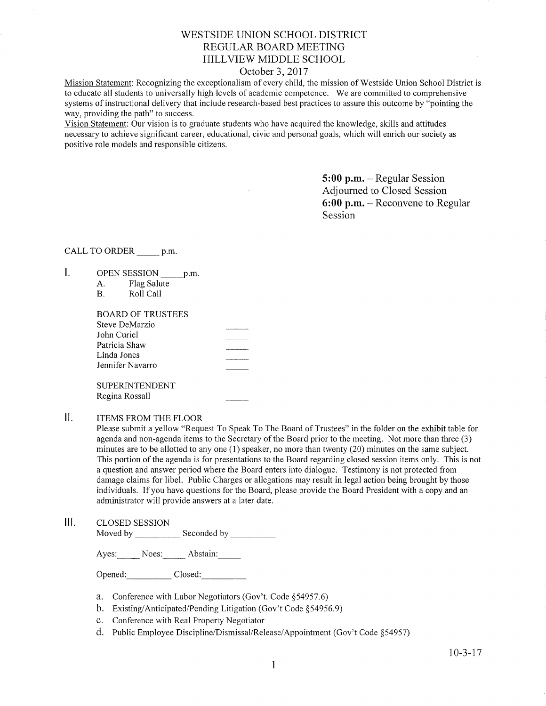## WESTSIDE UNION SCHOOL DISTRICT REGULAR BOARD MEETING HILLVIEW MIDDLE SCHOOL

## October 3,2017

Mission Statement: Recognizing the exceptionalism of every child, the mission of Westside Union School District is to educate all students to universally high levels of academic competence. We are committed to comprehensive systems of instructional delivery that include research-based best practices to assure this outcome by "pointing the way, providing the path" to success.

Vision Statement: Our vision is to graduate students who have acquired the knowledge, skills and attitudes necessary to achieve significant career, educational, civic and personal goals, which will enrich our society as positive role models and responsible citizens.

> 5:00 p.m. - Regular Session Adjourned to Closed Session 6:00 p.m. - Reconvene to Regular Session

### CALL TO ORDER p.m.

- I. OPEN SESSION \_\_\_\_\_ p.m.
	- A. Flag Salute<br>B. Roll Call
	-

| <b>BOARD OF TRUSTEES</b> |            |
|--------------------------|------------|
| Steve DeMarzio           |            |
| John Curiel              |            |
| Patricia Shaw            | . <i>.</i> |
| Linda Jones              |            |
| Jennifer Navarro         |            |
|                          |            |
| <b>SUPERINTENDENT</b>    |            |
| Regina Rossall           |            |

#### $\mathbf{II}$ . ITEMS FROM THE FLOOR

Please submit a yellow "Request To Speak To The Board of Trustees" in the folder on the exhibit table for agenda and non-agenda items to the Secretary of the Board prior to the meeting. Not more than three (3) minutes are to be allotted to any one (1) speaker, no more than twenty (20) minutes on the same subject. This portion of the agenda is for presentations to the Board regarding closed session items only. This is not a question and answer period where the Board enters into dialogue. Testimony is not protected from damage claims for libel. Public Charges or allegations may result in legal action being brought by those individuals. If you have questions for the Board, please provide the Board President with a copy and an administrator will provide answers at a later date.

lll. cLosED sESSroN

Moved by Seconded by

Ayes: Noes: Abstain:

Opened: Closed:

- a. Conference with Labor Negotiators (Gov't. Code \$54957.6) b. Existing/Anticipated/Pending Litigation (Gov't Code \$54956.9)
- 
- c. Conference with Real Property Negotiator
- d. Public Employee Discipline/Dismissal/Release/Appointment (Gov't Code §54957)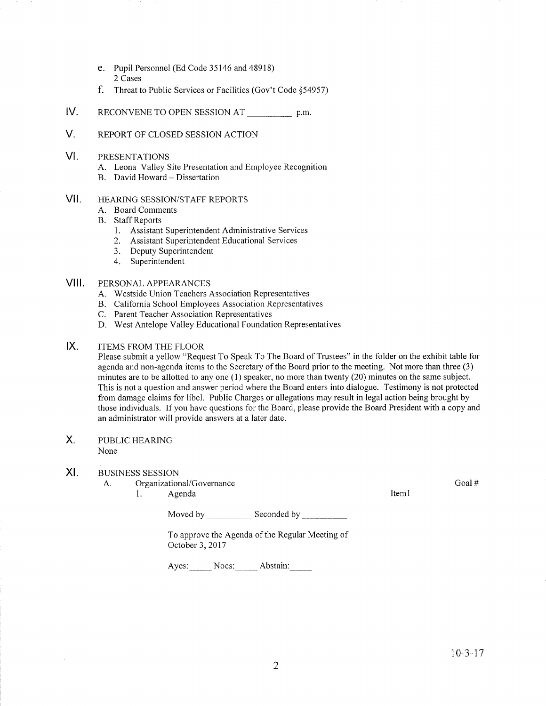- e. Pupil Personnel (Ed Code 35146 and 48918) 2 Cases
- f. Threat to Public Services or Facilities (Gov't Code \$54957)
- IV RECONVENE TO OPEN SESSION AT p.m.
- V. REPORT OF CLOSED SESSION ACTION
- VI PRESENTATIONS
	- A. Leona Valley Site Presentation and Employee Recognition B. David Howard Dissertation
	-
- vil HEARING SESSION/STAFF REPORTS
	- A. Board Comments
	- B. Staff Reports
		- 1. Assistant Superintendent Administrative Services
		- 2. Assistant Superintendent Educational Services
		- 3. Deputy Superintendent
		- 4. Superintendent

#### vilt PERSONAL APPEARANCES

- A. Westside Union Teachers Association Representatives
- B. California School Employees Association Representatives<br>C. Parent Teacher Association Representatives
- 
- D. West Antelope Valley Educational Foundation Representatives

#### $IX.$ ITEMS FROM THE FLOOR

Please submit a yellow "Request To Speak To The Board of Trustees" in the folder on the exhibit table for agenda and non-agenda items to the Secretary of the Board prior to the meeting. Not more than three (3) minutes are to be allotted to any one (1) speaker, no more than twenty (20) minutes on the same subject. This is not a question and answer period where the Board enters into dialogue. Testimony is not protected from damage claims for libel. Public Charges or allegations may result in legal action being brought by those individuals. If you have questions for the Board, please provide the Board President with a copy and an administrator will provide answers at a later date.

#### X PUBLIC HEARING

None

#### $X<sub>1</sub>$ . BUSINESS SESSION

- A. Organizational/Governance
	- 1. Agenda **Item**l

Moved by Seconded by Seconded by Seconded by Seconded by Seconded by Seconded by Seconded by Seconded by Seconded by Seconded by Seconded by Seconded by Seconded by Seconded by Seconded by Seconded by Seconded by Seconded

To approve the Agenda of the Regular Meeting of October 3,2017

Ayes: Noes: Abstain:

Goal #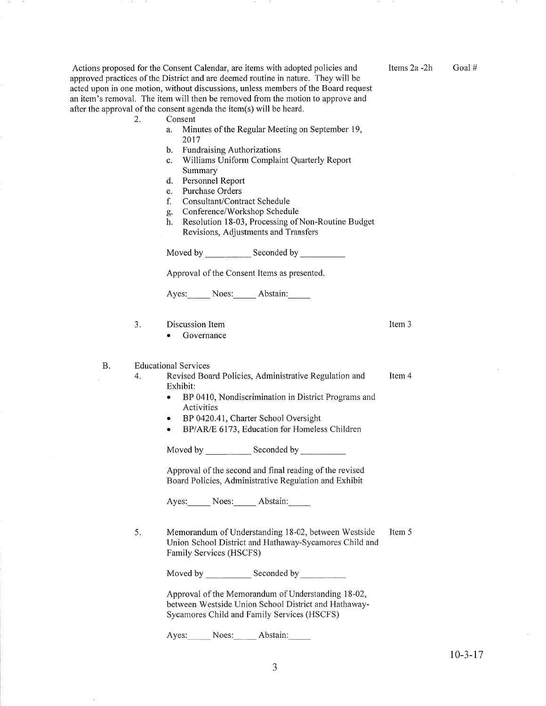Items2a -2h Goal #

Item 3

Actions proposed for the Consent Calendar, are items with adopted policies and approved practices of the District and are deemed routine in nature. They will be acted upon in one motion, without discussions, unless members of the Board request an item's removal. The item will then be removed from the motion to approve and after the approval of the consent agenda the item(s) will be heard. 2. Consent

- - a. Minutes of the Regular Meeting on September 19, 2017
	- b. Fundraising Authorizations
	- c. Williams Uniform Complaint Quarterly Report<br>Summary
	- d. Personnel Report
	- e. Purchase Orders
	- f. Consultant/Contract Schedule
	-
	- g. Conference/Workshop Schedule h. Resolution l8-03, Processing of Non-Routine Budget Revisions, Adjustments and Transfers

Moved by Seconded by

Approval of the Consent Items as presented

Ayes: Noes: Abstain:

3. Discussion Item

• Governance

B. Educational Services

- Item 4 4. Revised Board Policies, Administrative Regulation and Exhibit:
	- BP 0410, Nondiscrimination in District Programs and Activities
	- BP 0420.41, Charter School Oversight
	- BP/AR/E 6173, Education for Homeless Children

Moved by \_\_\_\_\_\_\_\_\_\_\_\_\_\_ Seconded by \_

Approval of the second and final reading of the revised Board Policies, Administrative Reguiation and Exhibit

Ayes: Noes: Abstain:

Item <sup>5</sup> <sup>5</sup> Memorandum of Understanding 18-02, between Westside Union School District and Hathaway-Sycamores Child and Family Services (HSCFS)

Moved by Seconded by Seconded by Seconded by Seconded by Seconded by Seconded by Seconded by Seconded by Seconded by Seconded by Seconded by Seconded by Seconded by Seconded by Seconded by Seconded by Seconded by Seconded

Approval of the Memorandum of Understanding l8-02, between Westside Union School District and Hathaway-Sycamores Child and Family Services (HSCFS)

Ayes: Noes: Abstain: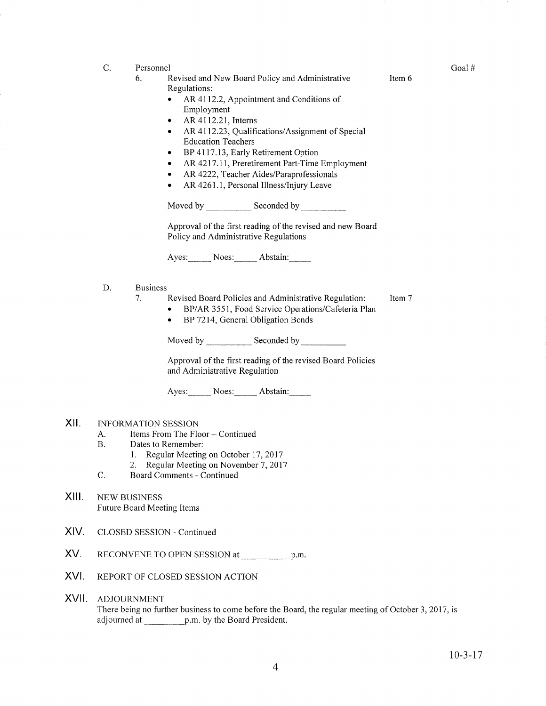- C. Personnel
	- 6. Revised and New Board Policy and Administrative Regulations:
		- AR 4112.2, Appointment and Conditions of Employment
		- $\bullet$  AR 4112.21, Interns
		- AR 4112.23, Qualifications/Assignment of Special Education Teachers
		- BP 4117.13, Early Retirement Option
		- AR 4217.11, Preretirement Part-Time Employment
		- AR 4222, Teacher Aides/Paraprofessionals
		- AR 4261.1, Personal Illness/Injury Leave

Moved by Seconded by

Approval of the first reading of the revised and new Board Policy and Administrative Regulations

Ayes: Noes: Abstain:

- Business D
	- 1. Revised Board Policies and Administrative Regulation: Item 7
		- o BP/AR 3551, Food Service Operations/Cafeteria Plan • BP 7214, General Obligation Bonds

Moved by \_\_\_\_\_\_\_\_\_\_\_\_\_ Seconded by \_

Approval of the first reading of the revised Board Policies and Administrative Regulation

Ayes: Noes: Abstain:

#### xil INFORMATION SESSION

- A. Items From The Floor Continued<br>B. Dates to Remember:
- 
- 1. Regular Meeting on October 17, 2017<br>2. Regular Meeting on November 7, 2017<br>C. Board Comments Continued
	-
- 
- XIII. NEW BUSINESS Future Board Meeting Items
- XIV. CLOSED SESSION - Continued
- XV. RECONVENE TO OPEN SESSION at p.m.
- XVI. REPORT OF CLOSED SESSION ACTION
- XVII ADJOURNMENT There being no further business to come before the Board, the regular meeting of October 3, 2017, is adjoumed at p.m. by the Board President.

Goal #

Item 6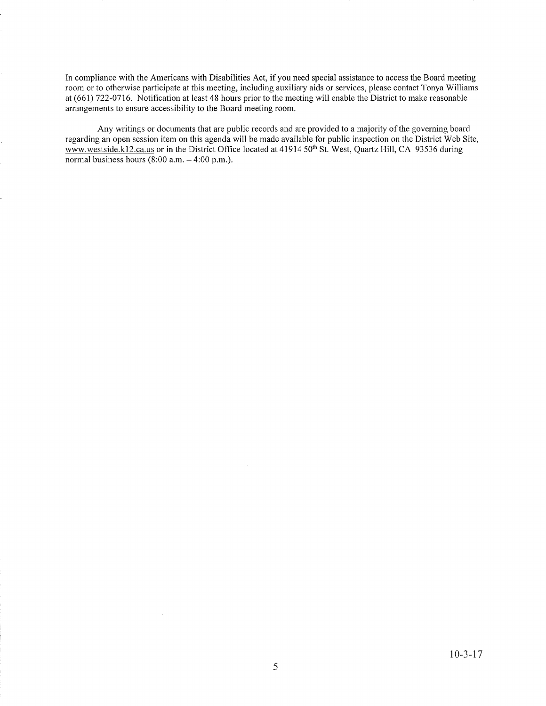In compliance with the Americans with Disabilities Act, if you need special assistance to access the Board meeting room or to otherwise participate at this meeting, including auxiliary aids or services, please contact Tonya Williams at (661) 722-0716. Notification at least 48 hours prior to the meeting will enable the District to make reasonable arrangements to ensure accessibility to the Board meeting room.

Any writings or documents that are public records and are provided to a majority of the governing board regarding an open session item on this agenda will be made available for public inspection on the District Web Site, www.westside.k12.ca.us or in the District Office located at 41914 50<sup>th</sup> St. West, Quartz Hill, CA 93536 during normal business hours  $(8:00 a.m. - 4:00 p.m.).$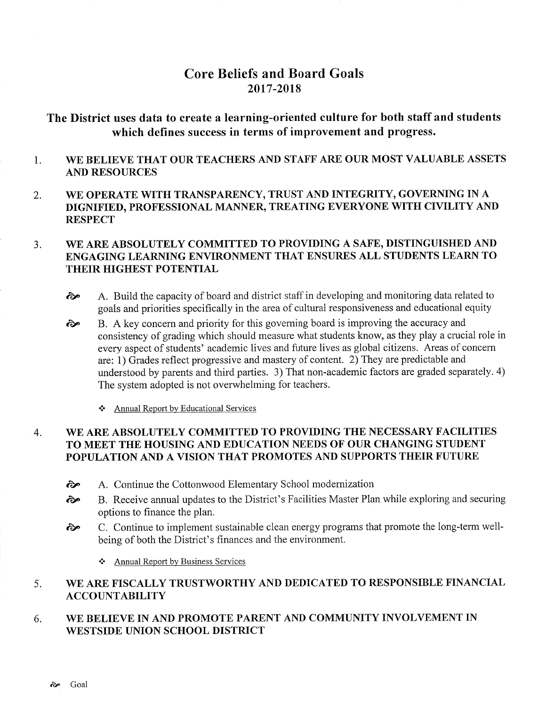# Core Beliefs and Board Goals 2017-2018

# The District uses data to create a learning-oriented culture for both staff and students which defines success in terms of improvement and progress.

### 1 WE BELIEVE THAT OUR TEACHERS AND STAFF ARE OUR MOST VALUABLE ASSETS AND RESOURCES

2. WE OPERATE WITH TRANSPARENCY, TRUST AND INTEGRITY, GOVERNING IN A DIGNIFIED, PROFESSIONAL MANNER, TREATING EVERYONE WITH CIVILITY AND **RESPECT** 

### 3. WE ARE ABSOLUTELY COMMITTED TO PROVIDING A SAFE, DISTINGUISHED AND ENGAGING LEARNING ENVIRONMENT THAT ENSURES ALL STUDENTS LEARN TO THEIR HIGHEST POTENTIAL

- $\odot$  A. Build the capacity of board and district staff in developing and monitoring data related to goals and priorities specifically in the area of cultural responsiveness and educational equity
- B. A key concern and priority for this goveming board is improving the accuracy and consistency of grading which should measure what students know, as they play a crucial role in every aspect of students' academic lives and future lives as global citizens. Areas of concern are: 1) Grades reflect progressive and mastery of content. 2) They are predictable and understood by parents and third parties. 3) That non-academic factors are graded separately. 4) The system adopted is not overwhelming for teachers. èe
	- \* Annual Report by Educational Services

### 4. WE ARE ABSOLUTELY COMMITTED TO PROVIDING THE NECESSARY FACILITIES TO MEET THE HOUSING AND EDUCATION NEEDS OF OUR CHANGING STUDENT POPULATION AND A VISION THAT PROMOTES AND SUPPORTS THEIR FUTURE

- èp A. Continue the Cottonwood Elementary School modernization
- èp B. Receive annual updates to the District's Facilities Master Plan while exploring and securing options to finance the plan.
- èp C. Continue to implement sustainable clean energy programs that promote the long-term wellbeing of both the District's finances and the environment.
	- \* Annual Report by Business Services

### 5 WE ARE FISCALLY TRUSTWORTHY AND DEDICATED TO RESPONSIBLE FINANCIAL ACCOUNTABILITY

### 6 WE BELIEVE IN AND PROMOTE PARENT AND COMMUNITY INVOLVEMENT IN WESTSIDE UNION SCHOOL DISTRICT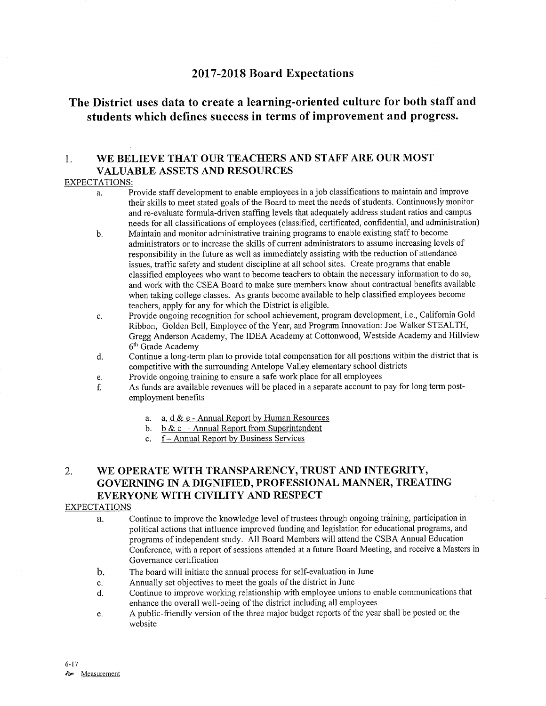## <sup>2017</sup>-2018 Board Expectations

# The District uses data to create a learning-oriented culture for both staff and students which defines success in terms of improvement and progress.

## 1. WE BELIEVE THAT OUR TEACHERS AND STAFF ARE OUR MOST VALUABLE ASSETS AND RESOURCES

## EXPECTATIONS:

- a. Provide staff development to enable employees in a job classifications to maintain and improve their skills to meet stated goals of the Board to meet the needs of students. Continuously monitor and re-evaluate formula-driven staffing levels that adequately address student ratios and campus needs for all classifications of employees (classifred, certificated, confidential, and administration)
- b. Maintain and monitor administrative training programs to enable existing staff to become administrators or to increase the skills of current administrators to assume increasing levels of responsibility in the future as well as immediately assisting with the reduction of attendance issues, traffìc safery and student discipline at all school sites. Create programs that enable classified employees who want to become teachers to obtain the necessary information to do so, and work with the CSEA Board to make sure members know about contractual benefits available when taking college classes. As grants become available to help classified employees become teachers, apply for any for which the District is eligible.
- c. Provide ongoing recognition for school achievement, program development, i.e., California Gold Ribbon, Golden Bell, Employee of the Year, and Program Innovation: Joe Walker STEALTH, Gregg Anderson Academy, The IDEA Academy at Cottonwood, Westside Academy and Hillview 6'h Grade Academy
- d. Continue a long-term plan to provide total compensation for all positions within the district that is competitive with the surrounding Antelope Valley elementary school districts
- 
- e. Provide ongoing training to ensure a safe work place for all employees **has funds and a separate account to pay for long term post-**<br>f. As funds are available revenues will be placed in a separate account to pay for lon employment benefits
	- a.  $a, d \& e$  Annual Report by Human Resources
	- b. b & c Annual Report from Superintendent c.  $f$  Annual Report by Business Services
	-

# 2. WE OPERATE WITH TRANSPARENCY, TRUST AND INTEGRITY, GOVERNING IN A DIGNIFIED, PROFESSIONAL MANNER, TREATING EVERYONE WITH CIVILITY AND RESPECT

## EXPECTATIONS

- a. Continue to improve the knowledge level of trustees through ongoing training, participation in political actions that influence improved funding and legislation for educational programs, and programs of independent study. All Board Members will attend the CSBA Annual Education Conference, with a report of sessions attended at a future Board Meeting, and receive a Masters in Governance certification
- b. The board will initiate the annual process for self-evaluation in June
- 
- c. Annually set objectives to meet the goals of the district in June d. Continue to improve working relationship with employee unions to enable communications that enhance the overall well-being of the district including all employees
- e. A public-friendly version of the three major budget reports of the year shall be posted on the website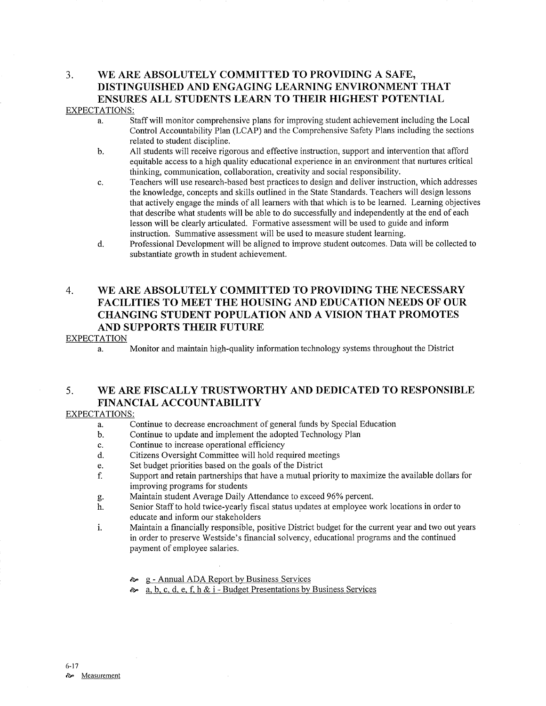# 3. WE ARE ABSOLUTELY COMMITTED TO PROVIDING A SAFE, DISTINGUISHED AND ENGAGING LEARNING ENVIRONMENT THAT ENSURES ALL STUDENTS LEARN TO THEIR HIGHEST POTENTIAL

## EXPECTATIONS:

- a. Staff will monitor comprehensive plans for improving student achievement including the Local Control Accountability Plan (LCAP) and the Comprehensive Safety Plans including the sections related to student discipline.
- b. All students will receive rigorous and effective instruction, support and intervention that afford equitable access to a high quality educational experience in an environment that nurtures critical thinking, communication, collaboration, creativity and social responsibility.
- c. Teachers will use research-based best practices to design and deliver instruction, which addresses the knowledge, concepts and skills outlined in the State Standards. Teachers will design lessons that actively engage the minds of all learners with that which is to be leamed. Learning objectives that describe what sfudents will be able to do successfully and independently at the end of each lesson will be clearly articulated. Formative assessment will be used to guide and inform instruction. Summative assessment will be used to measure student learning.
- d. Professional Development will be aligned to improve student outcomes. Data will be collected to substantiate growth in student achievement.

## 4. WE ARE ABSOLUTELY COMMITTED TO PROVIDING THE NECESSARY FACILITIES TO MEET THE HOUSING AND EDUCATION NEEDS OF OUR CHANGING STUDENT POPULATION AND A VISION THAT PROMOTES AND SUPPORTS THEIR FUTURE

## EXPECTATION

a. Monitor and maintain high-quality information technology systems throughout the District

## 5. WE ARE FISCALLY TRUSTWORTHY AND DEDICATED TO RESPONSIBLE FINANCIAL ACCOUNTABILITY

## EXPECTATIONS:

- a. Continue to decrease encroachment of general funds by Special Education b. Continue to update and implement the adopted Technology Plan
- 
- 
- c. Continue to increase operational efficiency<br>d. Citizens Oversight Committee will hold required meetings
- e. Set budget priorities based on the goals of the District
- f. Support and retain partnerships that have a mutual priorify to maximize the available dollars for improving programs for students
- 
- C. Maintain student Average Daily Attendance to exceed 96Yo percent. h. Senior Staff to hold twice-yearly hscal status updates at employee work locations in order to educate and inform our stakeholders
- i. Maintain a financially responsible, positive District budget for the current year and two out years in order to preserve Westside's financial solvency, educational programs and the continued payment of employee salaries.
	-
	- $\approx \text{g}$  Annual ADA Report by Business Services<br>  $\approx$  a, b, c, d, e, f, h & i Budget Presentations by Business Services